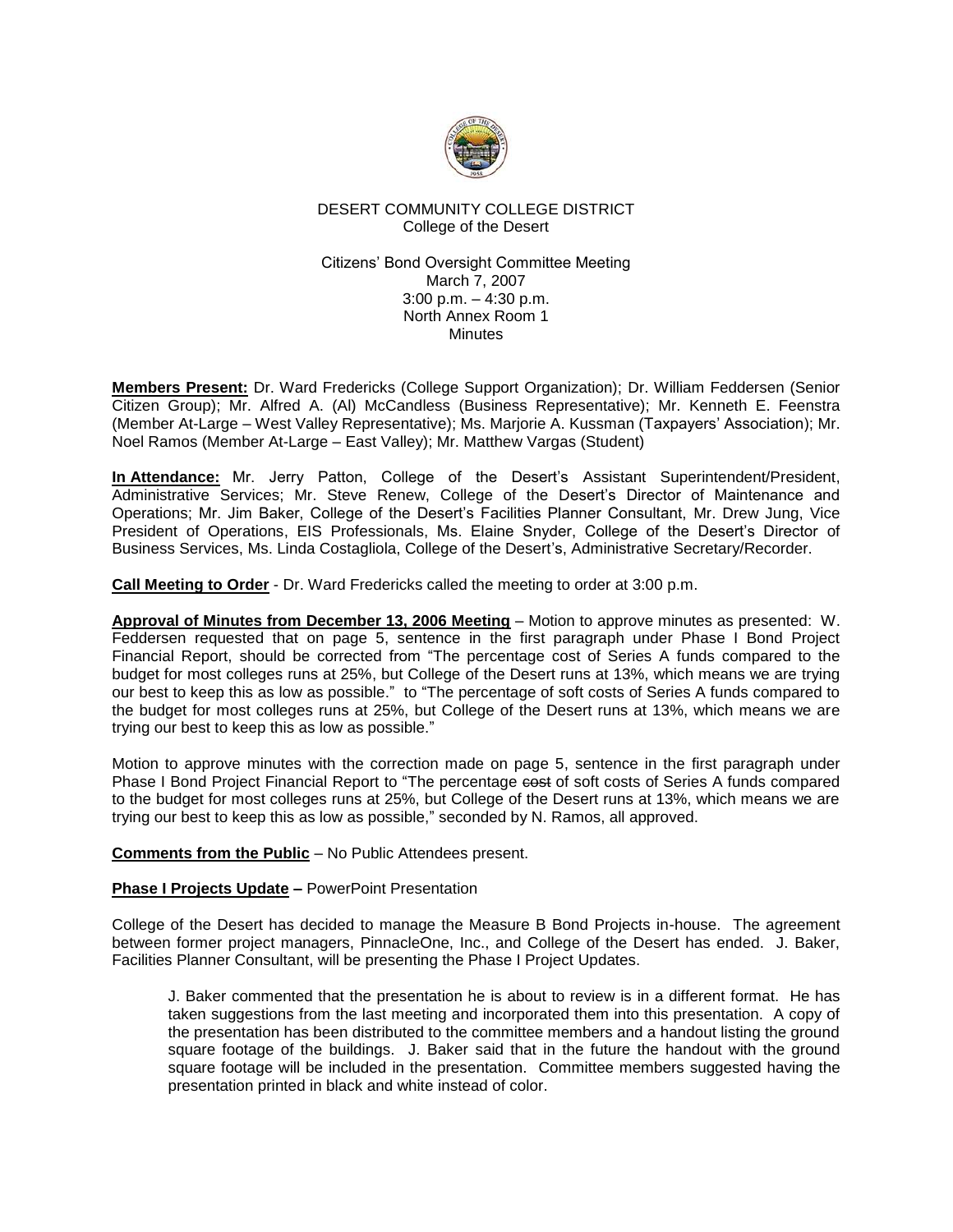

# DESERT COMMUNITY COLLEGE DISTRICT College of the Desert

## Citizens' Bond Oversight Committee Meeting March 7, 2007 3:00 p.m. – 4:30 p.m. North Annex Room 1 **Minutes**

**Members Present:** Dr. Ward Fredericks (College Support Organization); Dr. William Feddersen (Senior Citizen Group); Mr. Alfred A. (Al) McCandless (Business Representative); Mr. Kenneth E. Feenstra (Member At-Large – West Valley Representative); Ms. Marjorie A. Kussman (Taxpayers' Association); Mr. Noel Ramos (Member At-Large – East Valley); Mr. Matthew Vargas (Student)

**In Attendance:** Mr. Jerry Patton, College of the Desert's Assistant Superintendent/President, Administrative Services; Mr. Steve Renew, College of the Desert's Director of Maintenance and Operations; Mr. Jim Baker, College of the Desert's Facilities Planner Consultant, Mr. Drew Jung, Vice President of Operations, EIS Professionals, Ms. Elaine Snyder, College of the Desert's Director of Business Services, Ms. Linda Costagliola, College of the Desert's, Administrative Secretary/Recorder.

**Call Meeting to Order** - Dr. Ward Fredericks called the meeting to order at 3:00 p.m.

**Approval of Minutes from December 13, 2006 Meeting** – Motion to approve minutes as presented: W. Feddersen requested that on page 5, sentence in the first paragraph under Phase I Bond Project Financial Report, should be corrected from "The percentage cost of Series A funds compared to the budget for most colleges runs at 25%, but College of the Desert runs at 13%, which means we are trying our best to keep this as low as possible." to "The percentage of soft costs of Series A funds compared to the budget for most colleges runs at 25%, but College of the Desert runs at 13%, which means we are trying our best to keep this as low as possible."

Motion to approve minutes with the correction made on page 5, sentence in the first paragraph under Phase I Bond Project Financial Report to "The percentage cost of soft costs of Series A funds compared to the budget for most colleges runs at 25%, but College of the Desert runs at 13%, which means we are trying our best to keep this as low as possible," seconded by N. Ramos, all approved.

**Comments from the Public** – No Public Attendees present.

# **Phase I Projects Update –** PowerPoint Presentation

College of the Desert has decided to manage the Measure B Bond Projects in-house. The agreement between former project managers, PinnacleOne, Inc., and College of the Desert has ended. J. Baker, Facilities Planner Consultant, will be presenting the Phase I Project Updates.

J. Baker commented that the presentation he is about to review is in a different format. He has taken suggestions from the last meeting and incorporated them into this presentation. A copy of the presentation has been distributed to the committee members and a handout listing the ground square footage of the buildings. J. Baker said that in the future the handout with the ground square footage will be included in the presentation. Committee members suggested having the presentation printed in black and white instead of color.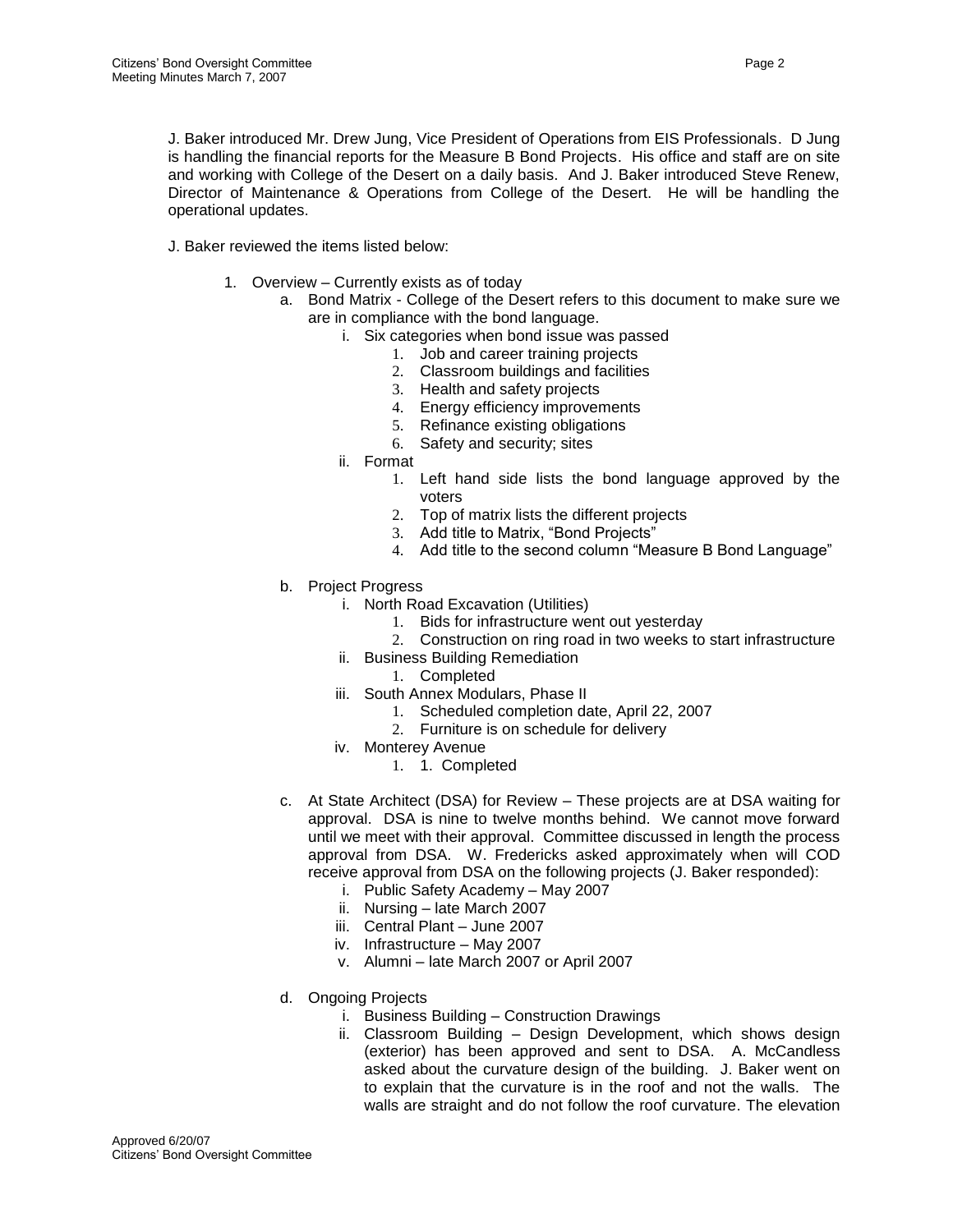J. Baker introduced Mr. Drew Jung, Vice President of Operations from EIS Professionals. D Jung is handling the financial reports for the Measure B Bond Projects. His office and staff are on site and working with College of the Desert on a daily basis. And J. Baker introduced Steve Renew, Director of Maintenance & Operations from College of the Desert. He will be handling the operational updates.

J. Baker reviewed the items listed below:

- 1. Overview Currently exists as of today
	- a. Bond Matrix College of the Desert refers to this document to make sure we are in compliance with the bond language.
		- i. Six categories when bond issue was passed
			- 1. Job and career training projects
			- 2. Classroom buildings and facilities
			- 3. Health and safety projects
			- 4. Energy efficiency improvements
			- 5. Refinance existing obligations
			- 6. Safety and security; sites
		- ii. Format
			- 1. Left hand side lists the bond language approved by the voters
			- 2. Top of matrix lists the different projects
			- 3. Add title to Matrix, "Bond Projects"
			- 4. Add title to the second column "Measure B Bond Language"
	- b. Project Progress
		- i. North Road Excavation (Utilities)
			- 1. Bids for infrastructure went out yesterday
			- 2. Construction on ring road in two weeks to start infrastructure
		- ii. Business Building Remediation
			- 1. Completed
		- iii. South Annex Modulars, Phase II
			- 1. Scheduled completion date, April 22, 2007
			- 2. Furniture is on schedule for delivery
		- iv. Monterey Avenue
			- 1. 1. Completed
	- c. At State Architect (DSA) for Review These projects are at DSA waiting for approval. DSA is nine to twelve months behind. We cannot move forward until we meet with their approval. Committee discussed in length the process approval from DSA. W. Fredericks asked approximately when will COD receive approval from DSA on the following projects (J. Baker responded):
		- i. Public Safety Academy May 2007
		- ii. Nursing late March 2007
		- iii. Central Plant June 2007
		- iv. Infrastructure May 2007
		- v. Alumni late March 2007 or April 2007
	- d. Ongoing Projects
		- i. Business Building Construction Drawings
		- ii. Classroom Building Design Development, which shows design (exterior) has been approved and sent to DSA. A. McCandless asked about the curvature design of the building. J. Baker went on to explain that the curvature is in the roof and not the walls. The walls are straight and do not follow the roof curvature. The elevation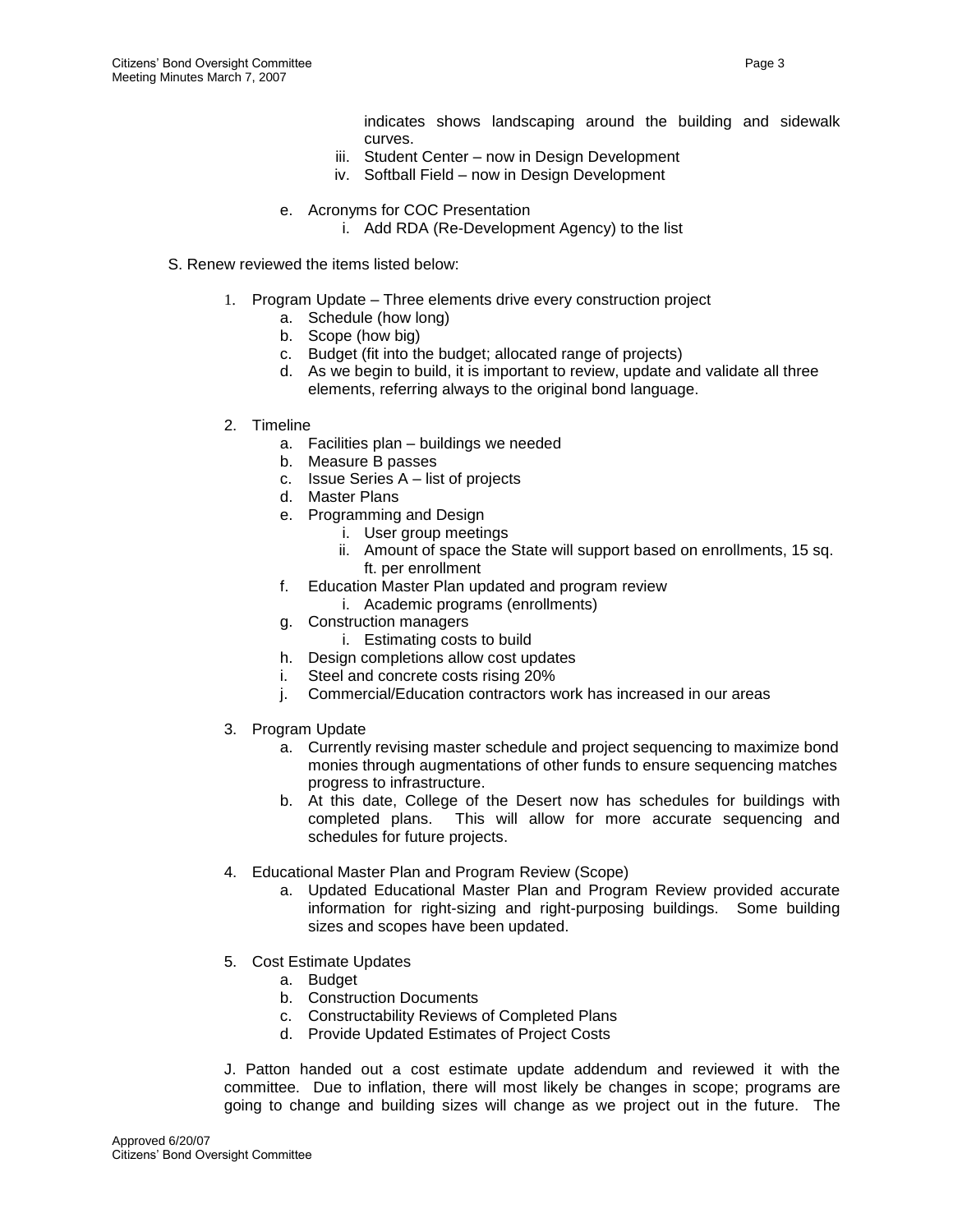indicates shows landscaping around the building and sidewalk curves.

- iii. Student Center now in Design Development
- iv. Softball Field now in Design Development
- e. Acronyms for COC Presentation
	- i. Add RDA (Re-Development Agency) to the list
- S. Renew reviewed the items listed below:
	- 1. Program Update Three elements drive every construction project
		- a. Schedule (how long)
		- b. Scope (how big)
		- c. Budget (fit into the budget; allocated range of projects)
		- d. As we begin to build, it is important to review, update and validate all three elements, referring always to the original bond language.
	- 2. Timeline
		- a. Facilities plan buildings we needed
		- b. Measure B passes
		- c. Issue Series A list of projects
		- d. Master Plans
		- e. Programming and Design
			- i. User group meetings
				- ii. Amount of space the State will support based on enrollments, 15 sq. ft. per enrollment
		- f. Education Master Plan updated and program review
			- i. Academic programs (enrollments)
		- g. Construction managers
			- i. Estimating costs to build
		- h. Design completions allow cost updates
		- i. Steel and concrete costs rising 20%
		- j. Commercial/Education contractors work has increased in our areas
	- 3. Program Update
		- a. Currently revising master schedule and project sequencing to maximize bond monies through augmentations of other funds to ensure sequencing matches progress to infrastructure.
		- b. At this date, College of the Desert now has schedules for buildings with completed plans. This will allow for more accurate sequencing and schedules for future projects.
	- 4. Educational Master Plan and Program Review (Scope)
		- a. Updated Educational Master Plan and Program Review provided accurate information for right-sizing and right-purposing buildings. Some building sizes and scopes have been updated.
	- 5. Cost Estimate Updates
		- a. Budget
		- b. Construction Documents
		- c. Constructability Reviews of Completed Plans
		- d. Provide Updated Estimates of Project Costs

J. Patton handed out a cost estimate update addendum and reviewed it with the committee. Due to inflation, there will most likely be changes in scope; programs are going to change and building sizes will change as we project out in the future. The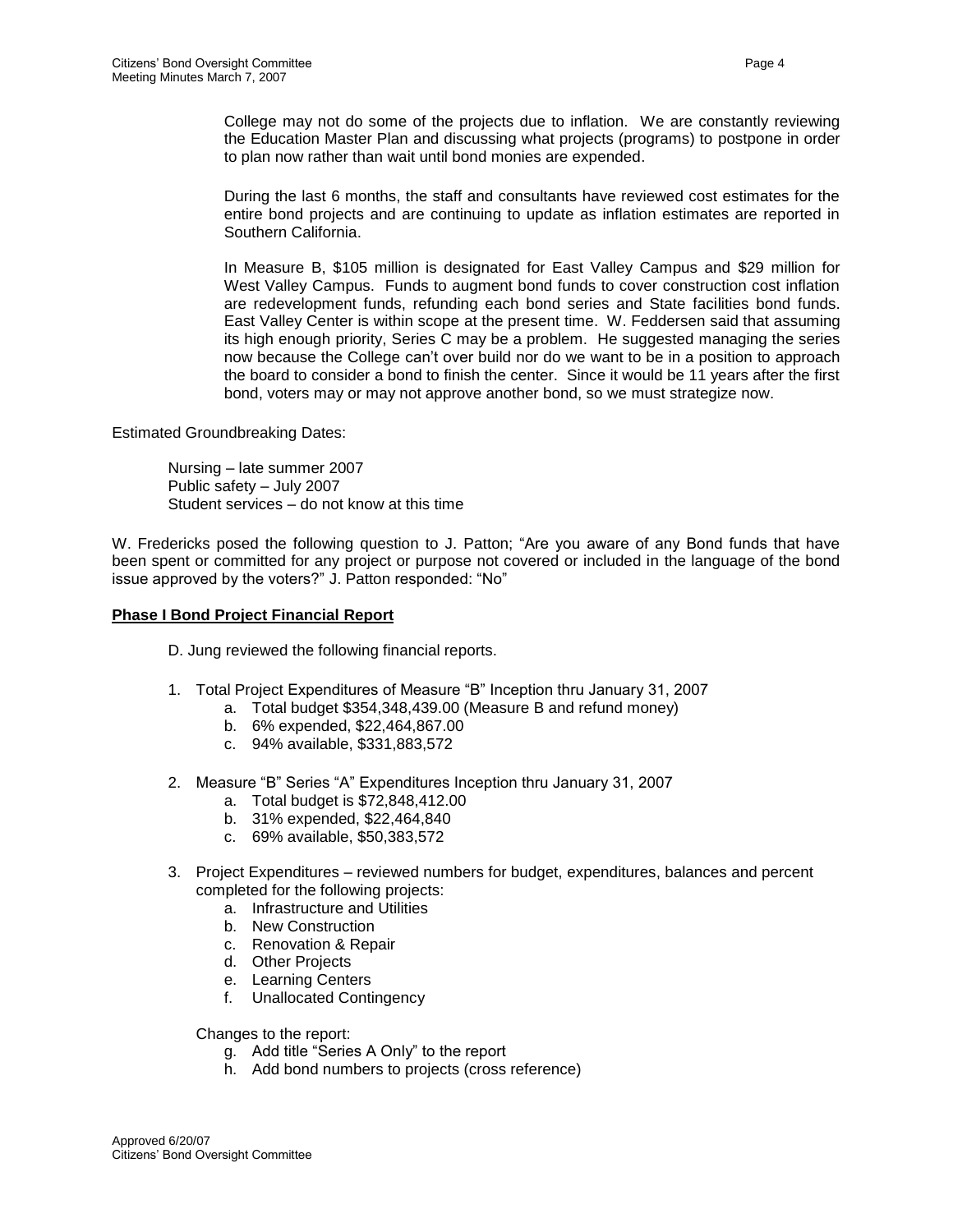College may not do some of the projects due to inflation. We are constantly reviewing the Education Master Plan and discussing what projects (programs) to postpone in order to plan now rather than wait until bond monies are expended.

During the last 6 months, the staff and consultants have reviewed cost estimates for the entire bond projects and are continuing to update as inflation estimates are reported in Southern California.

In Measure B, \$105 million is designated for East Valley Campus and \$29 million for West Valley Campus. Funds to augment bond funds to cover construction cost inflation are redevelopment funds, refunding each bond series and State facilities bond funds. East Valley Center is within scope at the present time. W. Feddersen said that assuming its high enough priority, Series C may be a problem. He suggested managing the series now because the College can't over build nor do we want to be in a position to approach the board to consider a bond to finish the center. Since it would be 11 years after the first bond, voters may or may not approve another bond, so we must strategize now.

Estimated Groundbreaking Dates:

Nursing – late summer 2007 Public safety – July 2007 Student services – do not know at this time

W. Fredericks posed the following question to J. Patton; "Are you aware of any Bond funds that have been spent or committed for any project or purpose not covered or included in the language of the bond issue approved by the voters?" J. Patton responded: "No"

#### **Phase I Bond Project Financial Report**

D. Jung reviewed the following financial reports.

- 1. Total Project Expenditures of Measure "B" Inception thru January 31, 2007
	- a. Total budget \$354,348,439.00 (Measure B and refund money)
	- b. 6% expended, \$22,464,867.00
	- c. 94% available, \$331,883,572
- 2. Measure "B" Series "A" Expenditures Inception thru January 31, 2007
	- a. Total budget is \$72,848,412.00
	- b. 31% expended, \$22,464,840
	- c. 69% available, \$50,383,572
- 3. Project Expenditures reviewed numbers for budget, expenditures, balances and percent completed for the following projects:
	- a. Infrastructure and Utilities
	- b. New Construction
	- c. Renovation & Repair
	- d. Other Projects
	- e. Learning Centers
	- f. Unallocated Contingency

Changes to the report:

- g. Add title "Series A Only" to the report
- h. Add bond numbers to projects (cross reference)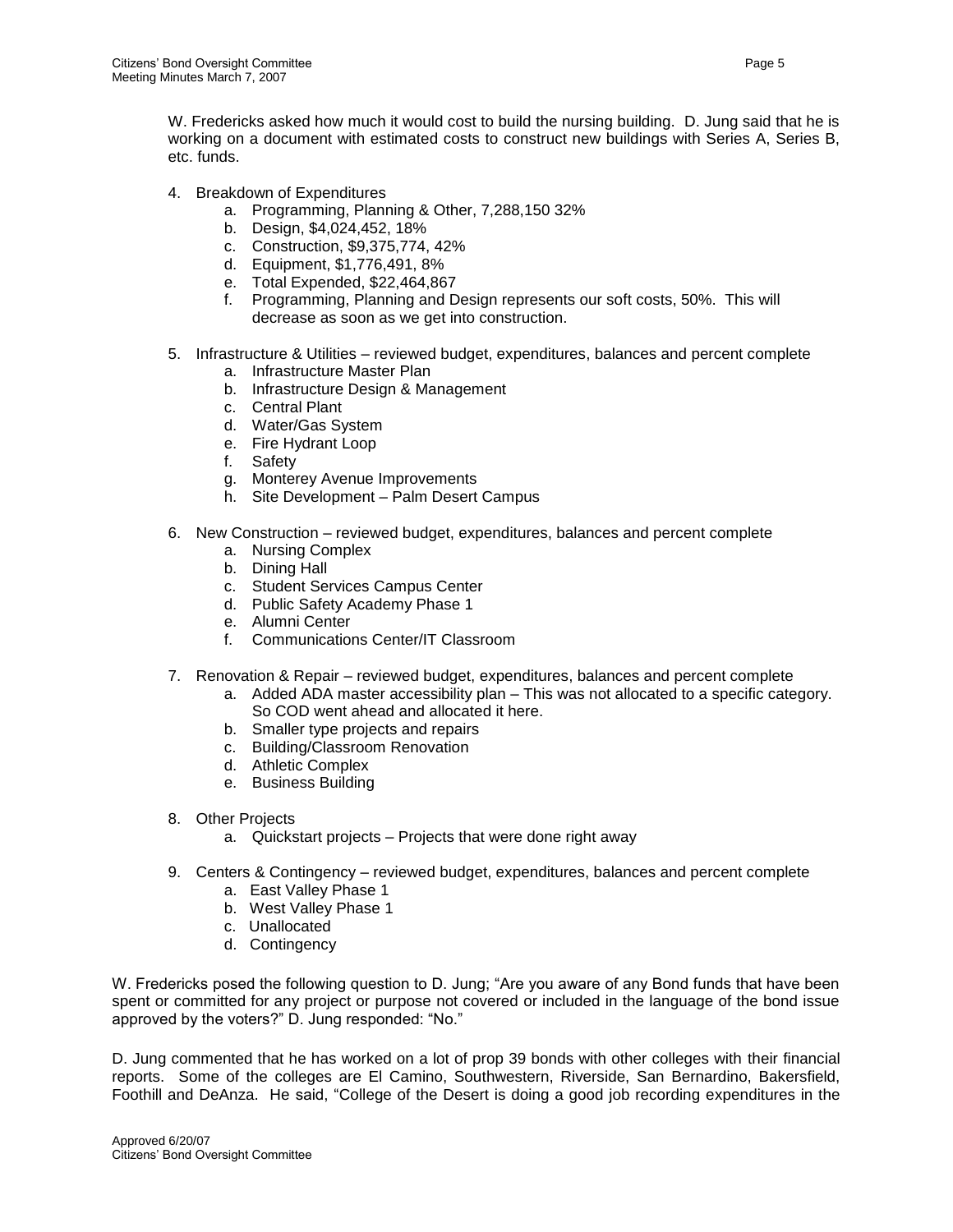W. Fredericks asked how much it would cost to build the nursing building. D. Jung said that he is working on a document with estimated costs to construct new buildings with Series A, Series B, etc. funds.

- 4. Breakdown of Expenditures
	- a. Programming, Planning & Other, 7,288,150 32%
	- b. Design, \$4,024,452, 18%
	- c. Construction, \$9,375,774, 42%
	- d. Equipment, \$1,776,491, 8%
	- e. Total Expended, \$22,464,867
	- f. Programming, Planning and Design represents our soft costs, 50%. This will decrease as soon as we get into construction.
- 5. Infrastructure & Utilities reviewed budget, expenditures, balances and percent complete
	- a. Infrastructure Master Plan
	- b. Infrastructure Design & Management
	- c. Central Plant
	- d. Water/Gas System
	- e. Fire Hydrant Loop
	- f. Safety
	- g. Monterey Avenue Improvements
	- h. Site Development Palm Desert Campus
- 6. New Construction reviewed budget, expenditures, balances and percent complete
	- a. Nursing Complex
	- b. Dining Hall
	- c. Student Services Campus Center
	- d. Public Safety Academy Phase 1
	- e. Alumni Center
	- f. Communications Center/IT Classroom
- 7. Renovation & Repair reviewed budget, expenditures, balances and percent complete
	- a. Added ADA master accessibility plan This was not allocated to a specific category. So COD went ahead and allocated it here.
	- b. Smaller type projects and repairs
	- c. Building/Classroom Renovation
	- d. Athletic Complex
	- e. Business Building
- 8. Other Projects
	- a. Quickstart projects Projects that were done right away
- 9. Centers & Contingency reviewed budget, expenditures, balances and percent complete
	- a. East Valley Phase 1
	- b. West Valley Phase 1
	- c. Unallocated
	- d. Contingency

W. Fredericks posed the following question to D. Jung; "Are you aware of any Bond funds that have been spent or committed for any project or purpose not covered or included in the language of the bond issue approved by the voters?" D. Jung responded: "No."

D. Jung commented that he has worked on a lot of prop 39 bonds with other colleges with their financial reports. Some of the colleges are El Camino, Southwestern, Riverside, San Bernardino, Bakersfield, Foothill and DeAnza. He said, "College of the Desert is doing a good job recording expenditures in the